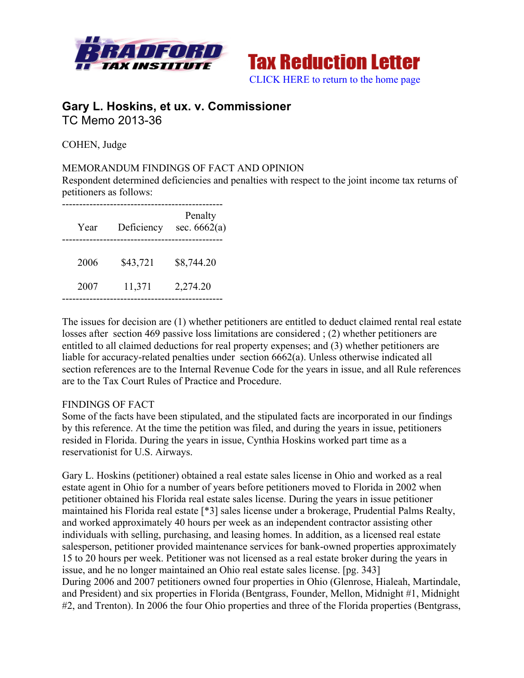



# **Gary L. Hoskins, et ux. v. Commissioner** TC Memo 2013-36

COHEN, Judge

## MEMORANDUM FINDINGS OF FACT AND OPINION

Respondent determined deficiencies and penalties with respect to the joint income tax returns of petitioners as follows:

| Year | Deficiency | Penalty<br>sec. $6662(a)$ |
|------|------------|---------------------------|
| 2006 | \$43,721   | \$8,744.20                |
| 2007 | 11,371     | 2,274.20                  |

The issues for decision are (1) whether petitioners are entitled to deduct claimed rental real estate losses after section 469 passive loss limitations are considered ; (2) whether petitioners are entitled to all claimed deductions for real property expenses; and (3) whether petitioners are liable for accuracy-related penalties under section 6662(a). Unless otherwise indicated all section references are to the Internal Revenue Code for the years in issue, and all Rule references are to the Tax Court Rules of Practice and Procedure.

### FINDINGS OF FACT

Some of the facts have been stipulated, and the stipulated facts are incorporated in our findings by this reference. At the time the petition was filed, and during the years in issue, petitioners resided in Florida. During the years in issue, Cynthia Hoskins worked part time as a reservationist for U.S. Airways.

Gary L. Hoskins (petitioner) obtained a real estate sales license in Ohio and worked as a real estate agent in Ohio for a number of years before petitioners moved to Florida in 2002 when petitioner obtained his Florida real estate sales license. During the years in issue petitioner maintained his Florida real estate [\*3] sales license under a brokerage, Prudential Palms Realty, and worked approximately 40 hours per week as an independent contractor assisting other individuals with selling, purchasing, and leasing homes. In addition, as a licensed real estate salesperson, petitioner provided maintenance services for bank-owned properties approximately 15 to 20 hours per week. Petitioner was not licensed as a real estate broker during the years in issue, and he no longer maintained an Ohio real estate sales license. [pg. 343] During 2006 and 2007 petitioners owned four properties in Ohio (Glenrose, Hialeah, Martindale, and President) and six properties in Florida (Bentgrass, Founder, Mellon, Midnight #1, Midnight #2, and Trenton). In 2006 the four Ohio properties and three of the Florida properties (Bentgrass,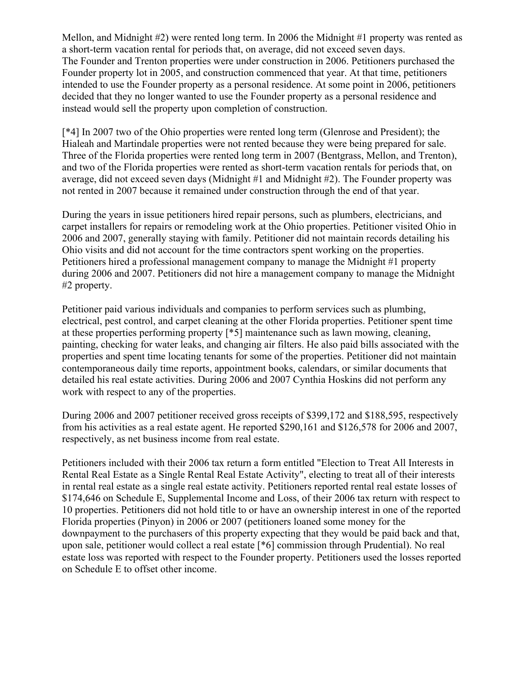Mellon, and Midnight #2) were rented long term. In 2006 the Midnight #1 property was rented as a short-term vacation rental for periods that, on average, did not exceed seven days. The Founder and Trenton properties were under construction in 2006. Petitioners purchased the Founder property lot in 2005, and construction commenced that year. At that time, petitioners intended to use the Founder property as a personal residence. At some point in 2006, petitioners decided that they no longer wanted to use the Founder property as a personal residence and instead would sell the property upon completion of construction.

[\*4] In 2007 two of the Ohio properties were rented long term (Glenrose and President); the Hialeah and Martindale properties were not rented because they were being prepared for sale. Three of the Florida properties were rented long term in 2007 (Bentgrass, Mellon, and Trenton), and two of the Florida properties were rented as short-term vacation rentals for periods that, on average, did not exceed seven days (Midnight #1 and Midnight #2). The Founder property was not rented in 2007 because it remained under construction through the end of that year.

During the years in issue petitioners hired repair persons, such as plumbers, electricians, and carpet installers for repairs or remodeling work at the Ohio properties. Petitioner visited Ohio in 2006 and 2007, generally staying with family. Petitioner did not maintain records detailing his Ohio visits and did not account for the time contractors spent working on the properties. Petitioners hired a professional management company to manage the Midnight #1 property during 2006 and 2007. Petitioners did not hire a management company to manage the Midnight #2 property.

Petitioner paid various individuals and companies to perform services such as plumbing, electrical, pest control, and carpet cleaning at the other Florida properties. Petitioner spent time at these properties performing property [\*5] maintenance such as lawn mowing, cleaning, painting, checking for water leaks, and changing air filters. He also paid bills associated with the properties and spent time locating tenants for some of the properties. Petitioner did not maintain contemporaneous daily time reports, appointment books, calendars, or similar documents that detailed his real estate activities. During 2006 and 2007 Cynthia Hoskins did not perform any work with respect to any of the properties.

During 2006 and 2007 petitioner received gross receipts of \$399,172 and \$188,595, respectively from his activities as a real estate agent. He reported \$290,161 and \$126,578 for 2006 and 2007, respectively, as net business income from real estate.

Petitioners included with their 2006 tax return a form entitled "Election to Treat All Interests in Rental Real Estate as a Single Rental Real Estate Activity", electing to treat all of their interests in rental real estate as a single real estate activity. Petitioners reported rental real estate losses of \$174,646 on Schedule E, Supplemental Income and Loss, of their 2006 tax return with respect to 10 properties. Petitioners did not hold title to or have an ownership interest in one of the reported Florida properties (Pinyon) in 2006 or 2007 (petitioners loaned some money for the downpayment to the purchasers of this property expecting that they would be paid back and that, upon sale, petitioner would collect a real estate [\*6] commission through Prudential). No real estate loss was reported with respect to the Founder property. Petitioners used the losses reported on Schedule E to offset other income.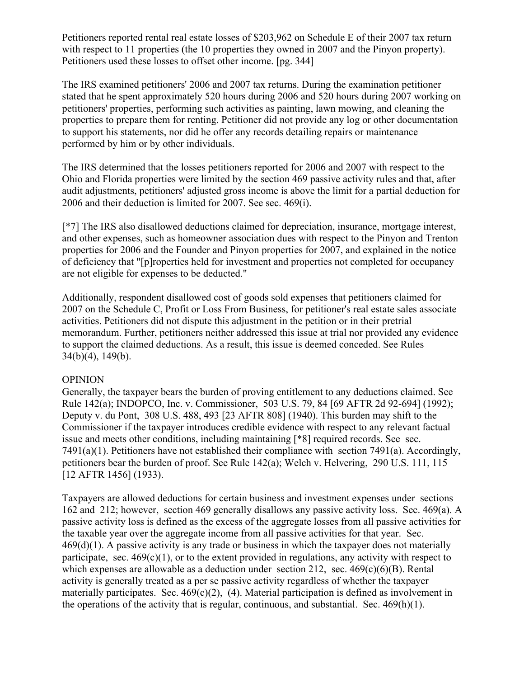Petitioners reported rental real estate losses of \$203,962 on Schedule E of their 2007 tax return with respect to 11 properties (the 10 properties they owned in 2007 and the Pinyon property). Petitioners used these losses to offset other income. [pg. 344]

The IRS examined petitioners' 2006 and 2007 tax returns. During the examination petitioner stated that he spent approximately 520 hours during 2006 and 520 hours during 2007 working on petitioners' properties, performing such activities as painting, lawn mowing, and cleaning the properties to prepare them for renting. Petitioner did not provide any log or other documentation to support his statements, nor did he offer any records detailing repairs or maintenance performed by him or by other individuals.

The IRS determined that the losses petitioners reported for 2006 and 2007 with respect to the Ohio and Florida properties were limited by the section 469 passive activity rules and that, after audit adjustments, petitioners' adjusted gross income is above the limit for a partial deduction for 2006 and their deduction is limited for 2007. See sec. 469(i).

[\*7] The IRS also disallowed deductions claimed for depreciation, insurance, mortgage interest, and other expenses, such as homeowner association dues with respect to the Pinyon and Trenton properties for 2006 and the Founder and Pinyon properties for 2007, and explained in the notice of deficiency that "[p]roperties held for investment and properties not completed for occupancy are not eligible for expenses to be deducted."

Additionally, respondent disallowed cost of goods sold expenses that petitioners claimed for 2007 on the Schedule C, Profit or Loss From Business, for petitioner's real estate sales associate activities. Petitioners did not dispute this adjustment in the petition or in their pretrial memorandum. Further, petitioners neither addressed this issue at trial nor provided any evidence to support the claimed deductions. As a result, this issue is deemed conceded. See Rules 34(b)(4), 149(b).

### OPINION

Generally, the taxpayer bears the burden of proving entitlement to any deductions claimed. See Rule 142(a); INDOPCO, Inc. v. Commissioner, 503 U.S. 79, 84 [69 AFTR 2d 92-694] (1992); Deputy v. du Pont, 308 U.S. 488, 493 [23 AFTR 808] (1940). This burden may shift to the Commissioner if the taxpayer introduces credible evidence with respect to any relevant factual issue and meets other conditions, including maintaining [\*8] required records. See sec. 7491(a)(1). Petitioners have not established their compliance with section 7491(a). Accordingly, petitioners bear the burden of proof. See Rule 142(a); Welch v. Helvering, 290 U.S. 111, 115 [12 AFTR 1456] (1933).

Taxpayers are allowed deductions for certain business and investment expenses under sections 162 and 212; however, section 469 generally disallows any passive activity loss. Sec. 469(a). A passive activity loss is defined as the excess of the aggregate losses from all passive activities for the taxable year over the aggregate income from all passive activities for that year. Sec.  $469(d)(1)$ . A passive activity is any trade or business in which the taxpayer does not materially participate, sec.  $469(c)(1)$ , or to the extent provided in regulations, any activity with respect to which expenses are allowable as a deduction under section 212, sec.  $469(c)(6)(B)$ . Rental activity is generally treated as a per se passive activity regardless of whether the taxpayer materially participates. Sec.  $469(c)(2)$ , (4). Material participation is defined as involvement in the operations of the activity that is regular, continuous, and substantial. Sec. 469(h)(1).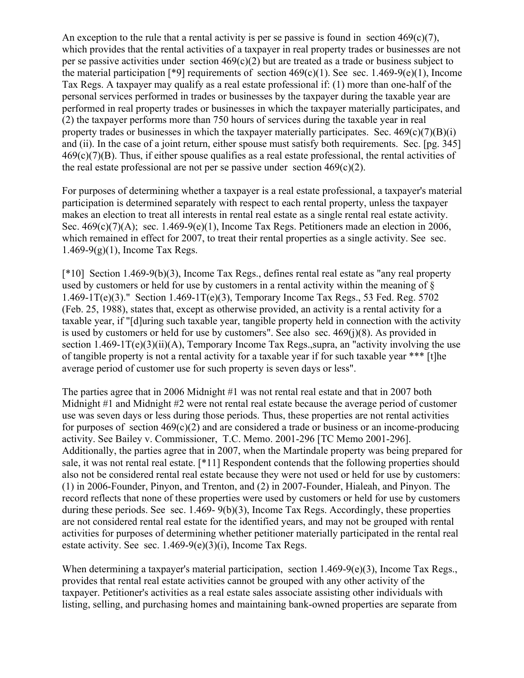An exception to the rule that a rental activity is per se passive is found in section  $469(c)(7)$ , which provides that the rental activities of a taxpayer in real property trades or businesses are not per se passive activities under section  $469(c)(2)$  but are treated as a trade or business subject to the material participation [\*9] requirements of section  $469(c)(1)$ . See sec. 1.469-9(e)(1), Income Tax Regs. A taxpayer may qualify as a real estate professional if: (1) more than one-half of the personal services performed in trades or businesses by the taxpayer during the taxable year are performed in real property trades or businesses in which the taxpayer materially participates, and (2) the taxpayer performs more than 750 hours of services during the taxable year in real property trades or businesses in which the taxpayer materially participates. Sec.  $469(c)(7)(B)(i)$ and (ii). In the case of a joint return, either spouse must satisfy both requirements. Sec. [pg. 345] 469(c)(7)(B). Thus, if either spouse qualifies as a real estate professional, the rental activities of the real estate professional are not per se passive under section  $469(c)(2)$ .

For purposes of determining whether a taxpayer is a real estate professional, a taxpayer's material participation is determined separately with respect to each rental property, unless the taxpayer makes an election to treat all interests in rental real estate as a single rental real estate activity. Sec.  $469(c)(7)(A)$ ; sec. 1.469-9(e)(1), Income Tax Regs. Petitioners made an election in 2006, which remained in effect for 2007, to treat their rental properties as a single activity. See sec.  $1.469-9(g)(1)$ , Income Tax Regs.

[\*10] Section 1.469-9(b)(3), Income Tax Regs., defines rental real estate as "any real property used by customers or held for use by customers in a rental activity within the meaning of §  $1.469-1T(e)(3)$ ." Section  $1.469-1T(e)(3)$ , Temporary Income Tax Regs., 53 Fed. Reg. 5702 (Feb. 25, 1988), states that, except as otherwise provided, an activity is a rental activity for a taxable year, if "[d]uring such taxable year, tangible property held in connection with the activity is used by customers or held for use by customers". See also sec.  $469(i)(8)$ . As provided in section  $1.469-1T(e)(3)(ii)(A)$ , Temporary Income Tax Regs., supra, an "activity involving the use of tangible property is not a rental activity for a taxable year if for such taxable year \*\*\* [t]he average period of customer use for such property is seven days or less".

The parties agree that in 2006 Midnight #1 was not rental real estate and that in 2007 both Midnight #1 and Midnight #2 were not rental real estate because the average period of customer use was seven days or less during those periods. Thus, these properties are not rental activities for purposes of section  $469(c)(2)$  and are considered a trade or business or an income-producing activity. See Bailey v. Commissioner, T.C. Memo. 2001-296 [TC Memo 2001-296]. Additionally, the parties agree that in 2007, when the Martindale property was being prepared for sale, it was not rental real estate. [\*11] Respondent contends that the following properties should also not be considered rental real estate because they were not used or held for use by customers: (1) in 2006-Founder, Pinyon, and Trenton, and (2) in 2007-Founder, Hialeah, and Pinyon. The record reflects that none of these properties were used by customers or held for use by customers during these periods. See sec. 1.469- 9(b)(3), Income Tax Regs. Accordingly, these properties are not considered rental real estate for the identified years, and may not be grouped with rental activities for purposes of determining whether petitioner materially participated in the rental real estate activity. See sec. 1.469-9(e)(3)(i), Income Tax Regs.

When determining a taxpayer's material participation, section  $1.469-9(e)(3)$ , Income Tax Regs., provides that rental real estate activities cannot be grouped with any other activity of the taxpayer. Petitioner's activities as a real estate sales associate assisting other individuals with listing, selling, and purchasing homes and maintaining bank-owned properties are separate from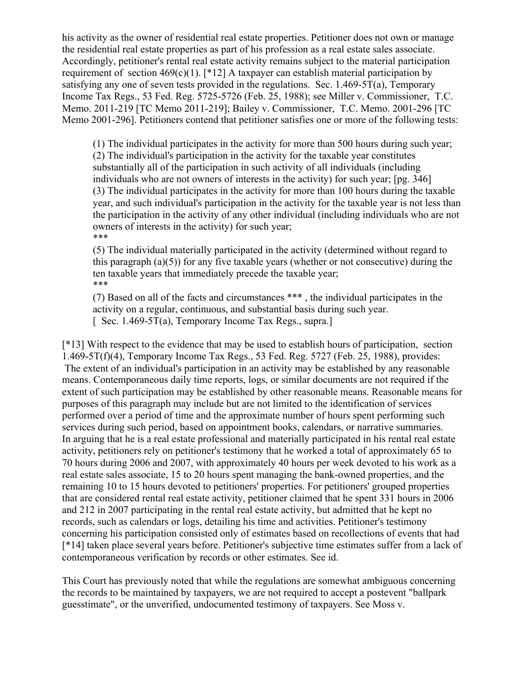his activity as the owner of residential real estate properties. Petitioner does not own or manage the residential real estate properties as part of his profession as a real estate sales associate. Accordingly, petitioner's rental real estate activity remains subject to the material participation requirement of section  $469(c)(1)$ . [\*12] A taxpayer can establish material participation by satisfying any one of seven tests provided in the regulations. Sec.  $1.469-5T(a)$ , Temporary Income Tax Regs., 53 Fed. Reg. 5725-5726 (Feb. 25, 1988); see Miller v. Commissioner, T.C. Memo. 2011-219 [TC Memo 2011-219]; Bailey v. Commissioner, T.C. Memo. 2001-296 [TC Memo 2001-296]. Petitioners contend that petitioner satisfies one or more of the following tests:

(1) The individual participates in the activity for more than 500 hours during such year; (2) The individual's participation in the activity for the taxable year constitutes substantially all of the participation in such activity of all individuals (including individuals who are not owners of interests in the activity) for such year; [pg. 346] (3) The individual participates in the activity for more than 100 hours during the taxable year, and such individual's participation in the activity for the taxable year is not less than the participation in the activity of any other individual (including individuals who are not owners of interests in the activity) for such year; \*\*\*

(5) The individual materially participated in the activity (determined without regard to this paragraph (a)(5)) for any five taxable years (whether or not consecutive) during the ten taxable years that immediately precede the taxable year; \*\*\*

(7) Based on all of the facts and circumstances \*\*\* , the individual participates in the activity on a regular, continuous, and substantial basis during such year.  $[$  Sec. 1.469-5T(a), Temporary Income Tax Regs., supra.

[\*13] With respect to the evidence that may be used to establish hours of participation, section 1.469-5T(f)(4), Temporary Income Tax Regs., 53 Fed. Reg. 5727 (Feb. 25, 1988), provides: The extent of an individual's participation in an activity may be established by any reasonable means. Contemporaneous daily time reports, logs, or similar documents are not required if the extent of such participation may be established by other reasonable means. Reasonable means for purposes of this paragraph may include but are not limited to the identification of services performed over a period of time and the approximate number of hours spent performing such services during such period, based on appointment books, calendars, or narrative summaries. In arguing that he is a real estate professional and materially participated in his rental real estate activity, petitioners rely on petitioner's testimony that he worked a total of approximately 65 to 70 hours during 2006 and 2007, with approximately 40 hours per week devoted to his work as a real estate sales associate, 15 to 20 hours spent managing the bank-owned properties, and the remaining 10 to 15 hours devoted to petitioners' properties. For petitioners' grouped properties that are considered rental real estate activity, petitioner claimed that he spent 331 hours in 2006 and 212 in 2007 participating in the rental real estate activity, but admitted that he kept no records, such as calendars or logs, detailing his time and activities. Petitioner's testimony concerning his participation consisted only of estimates based on recollections of events that had [\*14] taken place several years before. Petitioner's subjective time estimates suffer from a lack of contemporaneous verification by records or other estimates. See id.

This Court has previously noted that while the regulations are somewhat ambiguous concerning the records to be maintained by taxpayers, we are not required to accept a postevent "ballpark guesstimate", or the unverified, undocumented testimony of taxpayers. See Moss v.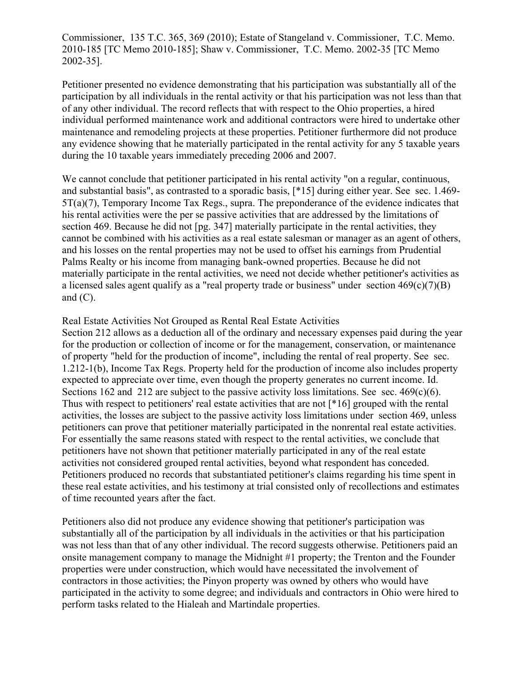Commissioner, 135 T.C. 365, 369 (2010); Estate of Stangeland v. Commissioner, T.C. Memo. 2010-185 [TC Memo 2010-185]; Shaw v. Commissioner, T.C. Memo. 2002-35 [TC Memo 2002-35].

Petitioner presented no evidence demonstrating that his participation was substantially all of the participation by all individuals in the rental activity or that his participation was not less than that of any other individual. The record reflects that with respect to the Ohio properties, a hired individual performed maintenance work and additional contractors were hired to undertake other maintenance and remodeling projects at these properties. Petitioner furthermore did not produce any evidence showing that he materially participated in the rental activity for any 5 taxable years during the 10 taxable years immediately preceding 2006 and 2007.

We cannot conclude that petitioner participated in his rental activity "on a regular, continuous, and substantial basis", as contrasted to a sporadic basis, [\*15] during either year. See sec. 1.469- 5T(a)(7), Temporary Income Tax Regs., supra. The preponderance of the evidence indicates that his rental activities were the per se passive activities that are addressed by the limitations of section 469. Because he did not [pg. 347] materially participate in the rental activities, they cannot be combined with his activities as a real estate salesman or manager as an agent of others, and his losses on the rental properties may not be used to offset his earnings from Prudential Palms Realty or his income from managing bank-owned properties. Because he did not materially participate in the rental activities, we need not decide whether petitioner's activities as a licensed sales agent qualify as a "real property trade or business" under section  $469(c)(7)(B)$ and  $(C)$ .

### Real Estate Activities Not Grouped as Rental Real Estate Activities

Section 212 allows as a deduction all of the ordinary and necessary expenses paid during the year for the production or collection of income or for the management, conservation, or maintenance of property "held for the production of income", including the rental of real property. See sec. 1.212-1(b), Income Tax Regs. Property held for the production of income also includes property expected to appreciate over time, even though the property generates no current income. Id. Sections 162 and 212 are subject to the passive activity loss limitations. See sec. 469(c)(6). Thus with respect to petitioners' real estate activities that are not [\*16] grouped with the rental activities, the losses are subject to the passive activity loss limitations under section 469, unless petitioners can prove that petitioner materially participated in the nonrental real estate activities. For essentially the same reasons stated with respect to the rental activities, we conclude that petitioners have not shown that petitioner materially participated in any of the real estate activities not considered grouped rental activities, beyond what respondent has conceded. Petitioners produced no records that substantiated petitioner's claims regarding his time spent in these real estate activities, and his testimony at trial consisted only of recollections and estimates of time recounted years after the fact.

Petitioners also did not produce any evidence showing that petitioner's participation was substantially all of the participation by all individuals in the activities or that his participation was not less than that of any other individual. The record suggests otherwise. Petitioners paid an onsite management company to manage the Midnight #1 property; the Trenton and the Founder properties were under construction, which would have necessitated the involvement of contractors in those activities; the Pinyon property was owned by others who would have participated in the activity to some degree; and individuals and contractors in Ohio were hired to perform tasks related to the Hialeah and Martindale properties.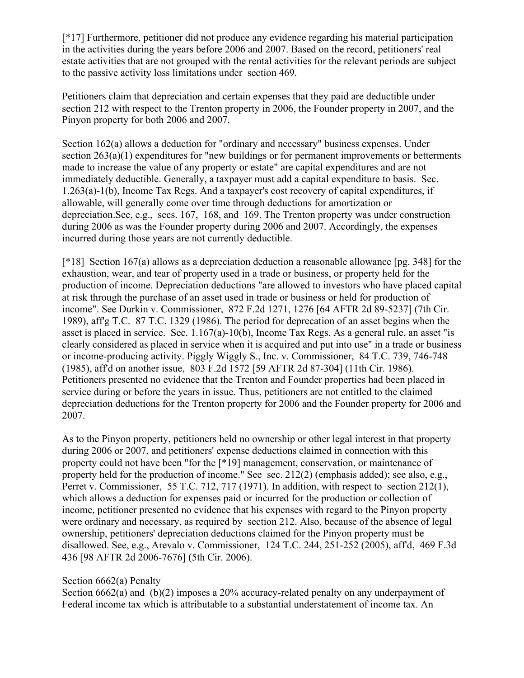[\*17] Furthermore, petitioner did not produce any evidence regarding his material participation in the activities during the years before 2006 and 2007. Based on the record, petitioners' real estate activities that are not grouped with the rental activities for the relevant periods are subject to the passive activity loss limitations under section 469.

Petitioners claim that depreciation and certain expenses that they paid are deductible under section 212 with respect to the Trenton property in 2006, the Founder property in 2007, and the Pinyon property for both 2006 and 2007.

Section 162(a) allows a deduction for "ordinary and necessary" business expenses. Under section 263(a)(1) expenditures for "new buildings or for permanent improvements or betterments made to increase the value of any property or estate" are capital expenditures and are not immediately deductible. Generally, a taxpayer must add a capital expenditure to basis. Sec. 1.263(a)-1(b), Income Tax Regs. And a taxpayer's cost recovery of capital expenditures, if allowable, will generally come over time through deductions for amortization or depreciation.See, e.g., secs. 167, 168, and 169. The Trenton property was under construction during 2006 as was the Founder property during 2006 and 2007. Accordingly, the expenses incurred during those years are not currently deductible.

[\*18] Section 167(a) allows as a depreciation deduction a reasonable allowance [pg. 348] for the exhaustion, wear, and tear of property used in a trade or business, or property held for the production of income. Depreciation deductions "are allowed to investors who have placed capital at risk through the purchase of an asset used in trade or business or held for production of income". See Durkin v. Commissioner, 872 F.2d 1271, 1276 [64 AFTR 2d 89-5237] (7th Cir. 1989), aff'g T.C. 87 T.C. 1329 (1986). The period for deprecation of an asset begins when the asset is placed in service. Sec. 1.167(a)-10(b), Income Tax Regs. As a general rule, an asset "is clearly considered as placed in service when it is acquired and put into use" in a trade or business or income-producing activity. Piggly Wiggly S., Inc. v. Commissioner, 84 T.C. 739, 746-748 (1985), aff'd on another issue, 803 F.2d 1572 [59 AFTR 2d 87-304] (11th Cir. 1986). Petitioners presented no evidence that the Trenton and Founder properties had been placed in service during or before the years in issue. Thus, petitioners are not entitled to the claimed depreciation deductions for the Trenton property for 2006 and the Founder property for 2006 and 2007.

As to the Pinyon property, petitioners held no ownership or other legal interest in that property during 2006 or 2007, and petitioners' expense deductions claimed in connection with this property could not have been "for the [\*19] management, conservation, or maintenance of property held for the production of income." See sec. 212(2) (emphasis added); see also, e.g., Perret v. Commissioner, 55 T.C. 712, 717 (1971). In addition, with respect to section 212(1), which allows a deduction for expenses paid or incurred for the production or collection of income, petitioner presented no evidence that his expenses with regard to the Pinyon property were ordinary and necessary, as required by section 212. Also, because of the absence of legal ownership, petitioners' depreciation deductions claimed for the Pinyon property must be disallowed. See, e.g., Arevalo v. Commissioner, 124 T.C. 244, 251-252 (2005), aff'd, 469 F.3d 436 [98 AFTR 2d 2006-7676] (5th Cir. 2006).

### Section 6662(a) Penalty

Section 6662(a) and (b)(2) imposes a 20% accuracy-related penalty on any underpayment of Federal income tax which is attributable to a substantial understatement of income tax. An